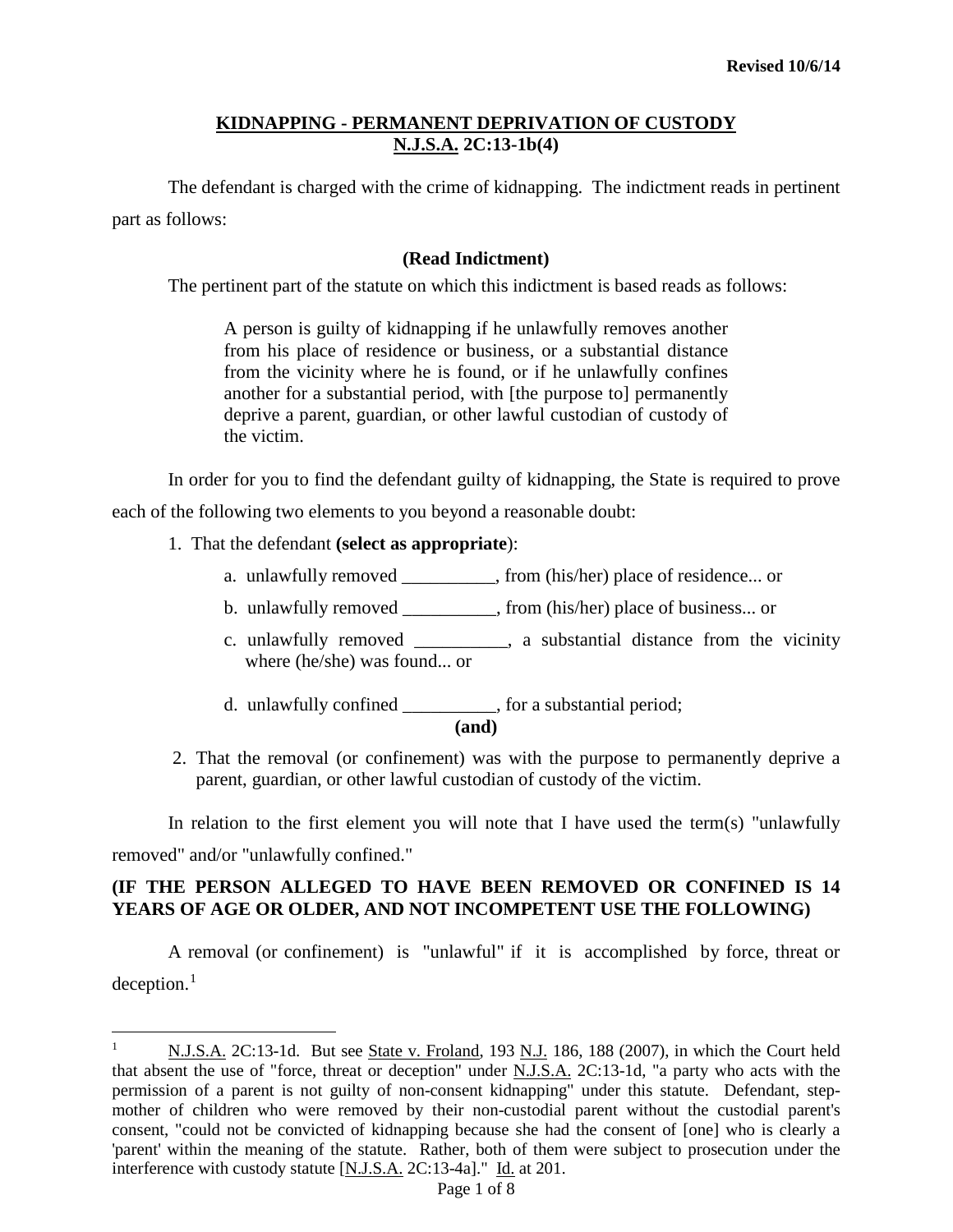The defendant is charged with the crime of kidnapping. The indictment reads in pertinent part as follows:

### **(Read Indictment)**

The pertinent part of the statute on which this indictment is based reads as follows:

A person is guilty of kidnapping if he unlawfully removes another from his place of residence or business, or a substantial distance from the vicinity where he is found, or if he unlawfully confines another for a substantial period, with [the purpose to] permanently deprive a parent, guardian, or other lawful custodian of custody of the victim.

In order for you to find the defendant guilty of kidnapping, the State is required to prove

each of the following two elements to you beyond a reasonable doubt:

1. That the defendant **(select as appropriate**):

 $\overline{a}$ 

- a. unlawfully removed \_\_\_\_\_\_\_\_\_\_, from (his/her) place of residence... or
- b. unlawfully removed \_\_\_\_\_\_\_\_\_\_, from (his/her) place of business... or
- c. unlawfully removed \_\_\_\_\_\_\_\_\_\_, a substantial distance from the vicinity where (he/she) was found... or
- d. unlawfully confined \_\_\_\_\_\_\_\_\_\_, for a substantial period;

**(and)**

2. That the removal (or confinement) was with the purpose to permanently deprive a parent, guardian, or other lawful custodian of custody of the victim.

In relation to the first element you will note that I have used the term(s) "unlawfully removed" and/or "unlawfully confined."

### **(IF THE PERSON ALLEGED TO HAVE BEEN REMOVED OR CONFINED IS 14 YEARS OF AGE OR OLDER, AND NOT INCOMPETENT USE THE FOLLOWING)**

A removal (or confinement) is "unlawful" if it is accomplished by force, threat or  $deception.<sup>1</sup>$  $deception.<sup>1</sup>$  $deception.<sup>1</sup>$ 

<span id="page-0-0"></span><sup>&</sup>lt;sup>1</sup> N.J.S.A. 2C:13-1d. But see State v. Froland, 193 N.J. 186, 188 (2007), in which the Court held that absent the use of "force, threat or deception" under N.J.S.A. 2C:13-1d, "a party who acts with the permission of a parent is not guilty of non-consent kidnapping" under this statute. Defendant, stepmother of children who were removed by their non-custodial parent without the custodial parent's consent, "could not be convicted of kidnapping because she had the consent of [one] who is clearly a 'parent' within the meaning of the statute. Rather, both of them were subject to prosecution under the interference with custody statute [N.J.S.A. 2C:13-4a]." Id. at 201.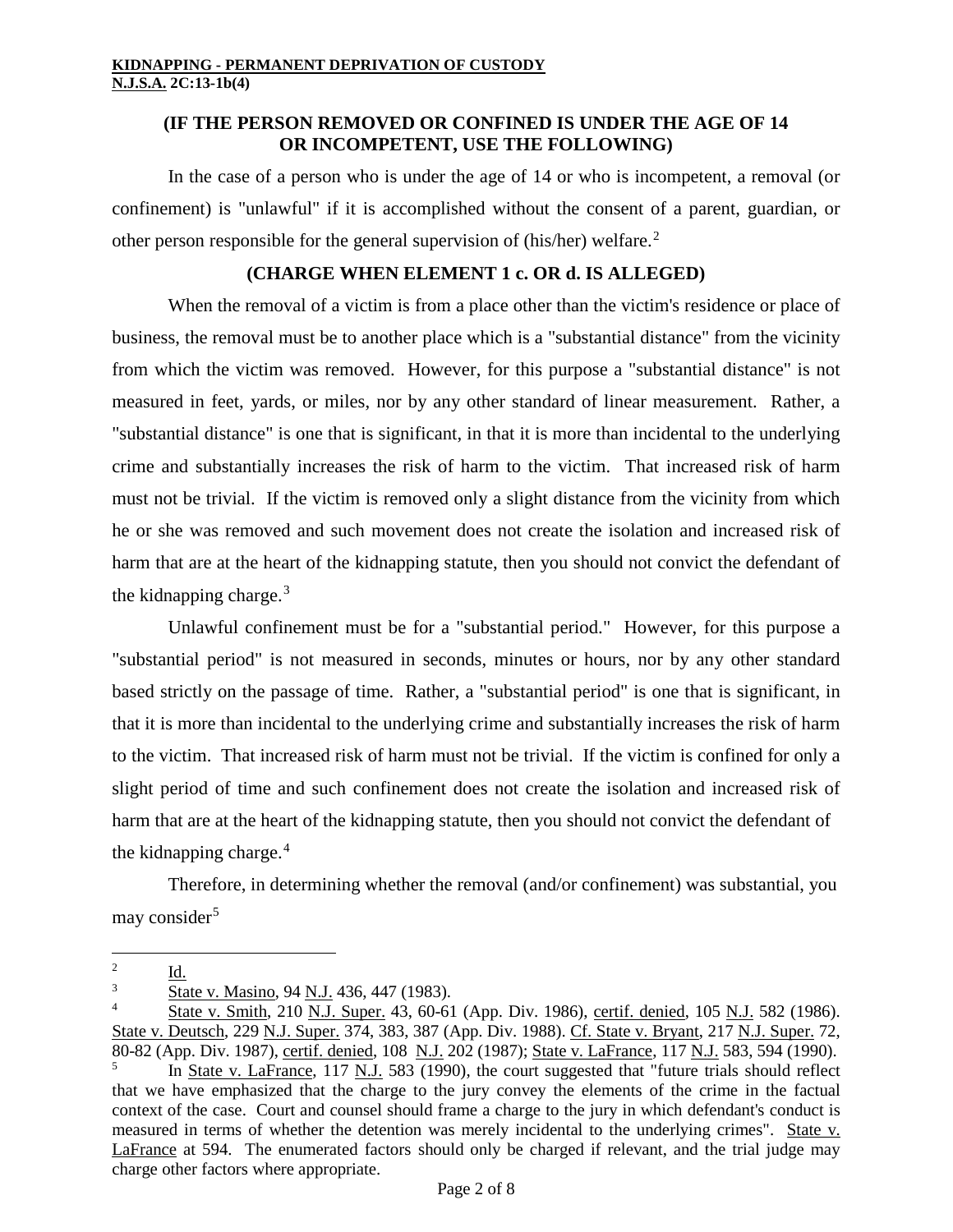# **(IF THE PERSON REMOVED OR CONFINED IS UNDER THE AGE OF 14 OR INCOMPETENT, USE THE FOLLOWING)**

In the case of a person who is under the age of 14 or who is incompetent, a removal (or confinement) is "unlawful" if it is accomplished without the consent of a parent, guardian, or other person responsible for the general supervision of (his/her) welfare.[2](#page-1-0)

# **(CHARGE WHEN ELEMENT 1 c. OR d. IS ALLEGED)**

When the removal of a victim is from a place other than the victim's residence or place of business, the removal must be to another place which is a "substantial distance" from the vicinity from which the victim was removed. However, for this purpose a "substantial distance" is not measured in feet, yards, or miles, nor by any other standard of linear measurement. Rather, a "substantial distance" is one that is significant, in that it is more than incidental to the underlying crime and substantially increases the risk of harm to the victim. That increased risk of harm must not be trivial. If the victim is removed only a slight distance from the vicinity from which he or she was removed and such movement does not create the isolation and increased risk of harm that are at the heart of the kidnapping statute, then you should not convict the defendant of the kidnapping charge. $3$ 

Unlawful confinement must be for a "substantial period." However, for this purpose a "substantial period" is not measured in seconds, minutes or hours, nor by any other standard based strictly on the passage of time. Rather, a "substantial period" is one that is significant, in that it is more than incidental to the underlying crime and substantially increases the risk of harm to the victim. That increased risk of harm must not be trivial. If the victim is confined for only a slight period of time and such confinement does not create the isolation and increased risk of harm that are at the heart of the kidnapping statute, then you should not convict the defendant of the kidnapping charge. $4$ 

Therefore, in determining whether the removal (and/or confinement) was substantial, you may consider<sup>[5](#page-1-3)</sup>

<span id="page-1-0"></span> $rac{2}{3}$   $rac{Id.}{St_2}$ 

State v. Masino, 94 N.J. 436, 447 (1983).

<span id="page-1-3"></span><span id="page-1-2"></span><span id="page-1-1"></span><sup>4</sup> State v. Smith, 210 N.J. Super. 43, 60-61 (App. Div. 1986), certif. denied, 105 N.J. 582 (1986). State v. Deutsch, 229 N.J. Super. 374, 383, 387 (App. Div. 1988). Cf. State v. Bryant, 217 N.J. Super. 72, 80-82 (App. Div. 1987), certif. denied, 108 N.J. 202 (1987); State v. LaFrance, 117 N.J. 583, 594 (1990). In State v. LaFrance, 117 N.J. 583 (1990), the court suggested that "future trials should reflect that we have emphasized that the charge to the jury convey the elements of the crime in the factual context of the case. Court and counsel should frame a charge to the jury in which defendant's conduct is measured in terms of whether the detention was merely incidental to the underlying crimes". State v. LaFrance at 594. The enumerated factors should only be charged if relevant, and the trial judge may charge other factors where appropriate.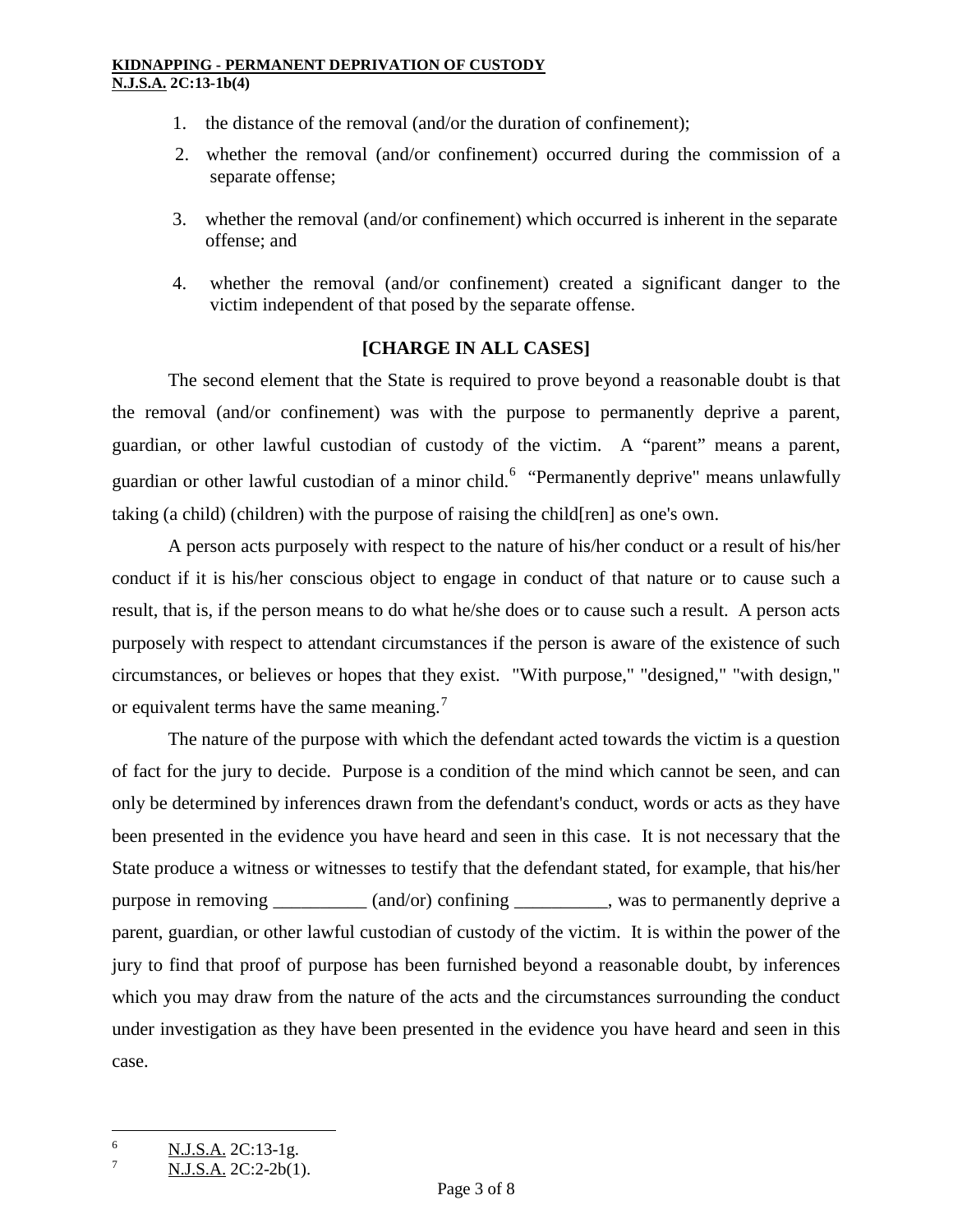- 1. the distance of the removal (and/or the duration of confinement);
- 2. whether the removal (and/or confinement) occurred during the commission of a separate offense;
- 3. whether the removal (and/or confinement) which occurred is inherent in the separate offense; and
- 4. whether the removal (and/or confinement) created a significant danger to the victim independent of that posed by the separate offense.

# **[CHARGE IN ALL CASES]**

The second element that the State is required to prove beyond a reasonable doubt is that the removal (and/or confinement) was with the purpose to permanently deprive a parent, guardian, or other lawful custodian of custody of the victim. A "parent" means a parent, guardian or other lawful custodian of a minor child.<sup>[6](#page-2-0)</sup> "Permanently deprive" means unlawfully taking (a child) (children) with the purpose of raising the child[ren] as one's own.

A person acts purposely with respect to the nature of his/her conduct or a result of his/her conduct if it is his/her conscious object to engage in conduct of that nature or to cause such a result, that is, if the person means to do what he/she does or to cause such a result. A person acts purposely with respect to attendant circumstances if the person is aware of the existence of such circumstances, or believes or hopes that they exist. "With purpose," "designed," "with design," or equivalent terms have the same meaning.<sup>[7](#page-2-1)</sup>

The nature of the purpose with which the defendant acted towards the victim is a question of fact for the jury to decide. Purpose is a condition of the mind which cannot be seen, and can only be determined by inferences drawn from the defendant's conduct, words or acts as they have been presented in the evidence you have heard and seen in this case. It is not necessary that the State produce a witness or witnesses to testify that the defendant stated, for example, that his/her purpose in removing \_\_\_\_\_\_\_\_\_ (and/or) confining \_\_\_\_\_\_\_\_\_, was to permanently deprive a parent, guardian, or other lawful custodian of custody of the victim. It is within the power of the jury to find that proof of purpose has been furnished beyond a reasonable doubt, by inferences which you may draw from the nature of the acts and the circumstances surrounding the conduct under investigation as they have been presented in the evidence you have heard and seen in this case.

<span id="page-2-0"></span> $\frac{6}{7}$  N.J.S.A. 2C:13-1g.

<span id="page-2-1"></span>N.J.S.A. 2C:2-2b(1).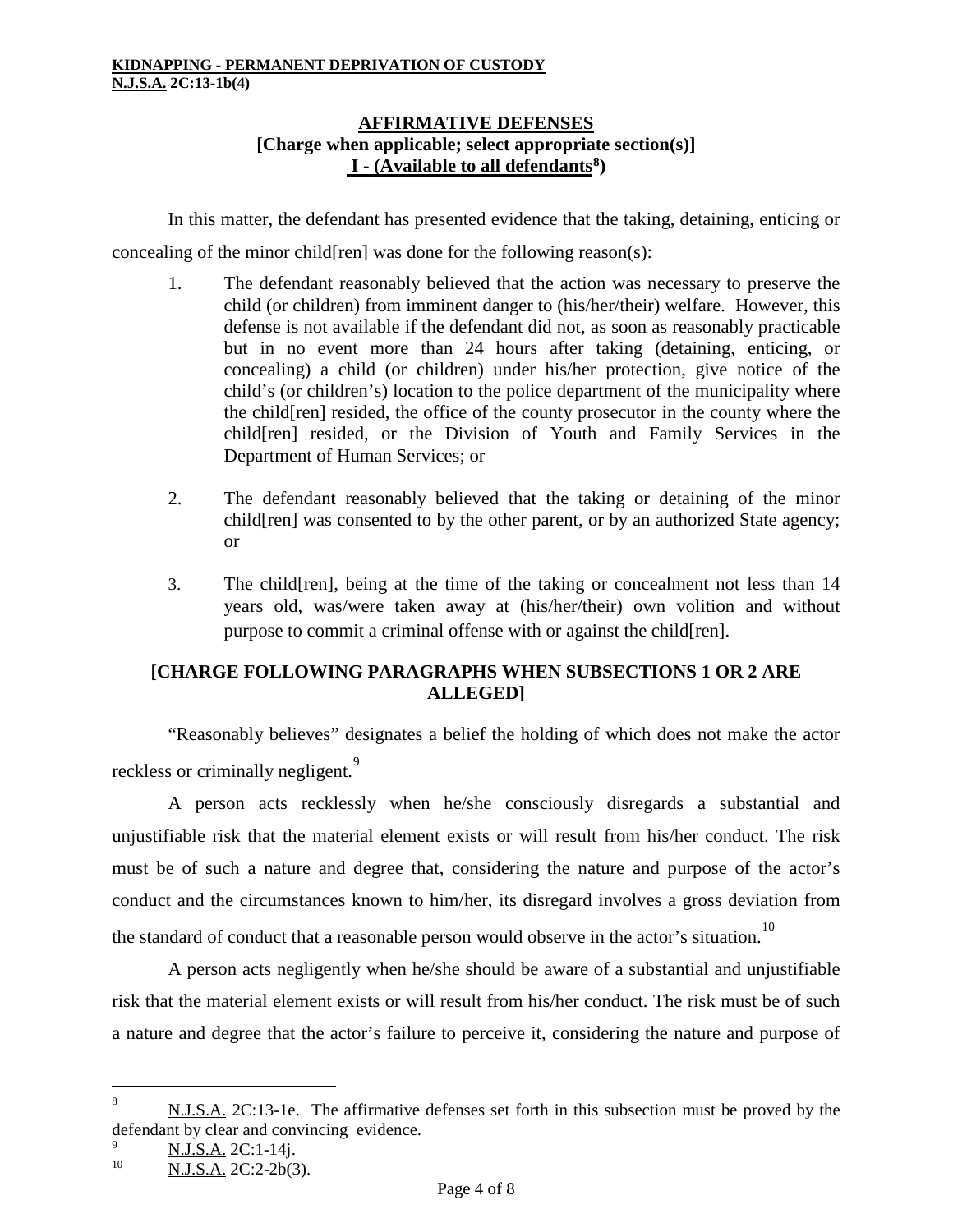# **AFFIRMATIVE DEFENSES [Charge when applicable; select appropriate section(s)] I - (Available to all defendants[8](#page-3-0))**

In this matter, the defendant has presented evidence that the taking, detaining, enticing or concealing of the minor child[ren] was done for the following reason(s):

- 1. The defendant reasonably believed that the action was necessary to preserve the child (or children) from imminent danger to (his/her/their) welfare. However, this defense is not available if the defendant did not, as soon as reasonably practicable but in no event more than 24 hours after taking (detaining, enticing, or concealing) a child (or children) under his/her protection, give notice of the child's (or children's) location to the police department of the municipality where the child[ren] resided, the office of the county prosecutor in the county where the child[ren] resided, or the Division of Youth and Family Services in the Department of Human Services; or
- 2. The defendant reasonably believed that the taking or detaining of the minor child[ren] was consented to by the other parent, or by an authorized State agency; or
- 3. The child[ren], being at the time of the taking or concealment not less than 14 years old, was/were taken away at (his/her/their) own volition and without purpose to commit a criminal offense with or against the child[ren].

# **[CHARGE FOLLOWING PARAGRAPHS WHEN SUBSECTIONS 1 OR 2 ARE ALLEGED]**

"Reasonably believes" designates a belief the holding of which does not make the actor reckless or criminally negligent.<sup>[9](#page-3-1)</sup>

A person acts recklessly when he/she consciously disregards a substantial and unjustifiable risk that the material element exists or will result from his/her conduct. The risk must be of such a nature and degree that, considering the nature and purpose of the actor's conduct and the circumstances known to him/her, its disregard involves a gross deviation from the standard of conduct that a reasonable person would observe in the actor's situation.<sup>[10](#page-3-2)</sup>

A person acts negligently when he/she should be aware of a substantial and unjustifiable risk that the material element exists or will result from his/her conduct. The risk must be of such a nature and degree that the actor's failure to perceive it, considering the nature and purpose of

<span id="page-3-0"></span><sup>8</sup> N.J.S.A. 2C:13-1e. The affirmative defenses set forth in this subsection must be proved by the defendant by clear and convincing evidence.

<span id="page-3-1"></span> $\frac{9}{10}$  N.J.S.A. 2C:1-14j.

<span id="page-3-2"></span>N.J.S.A. 2C:2-2b(3).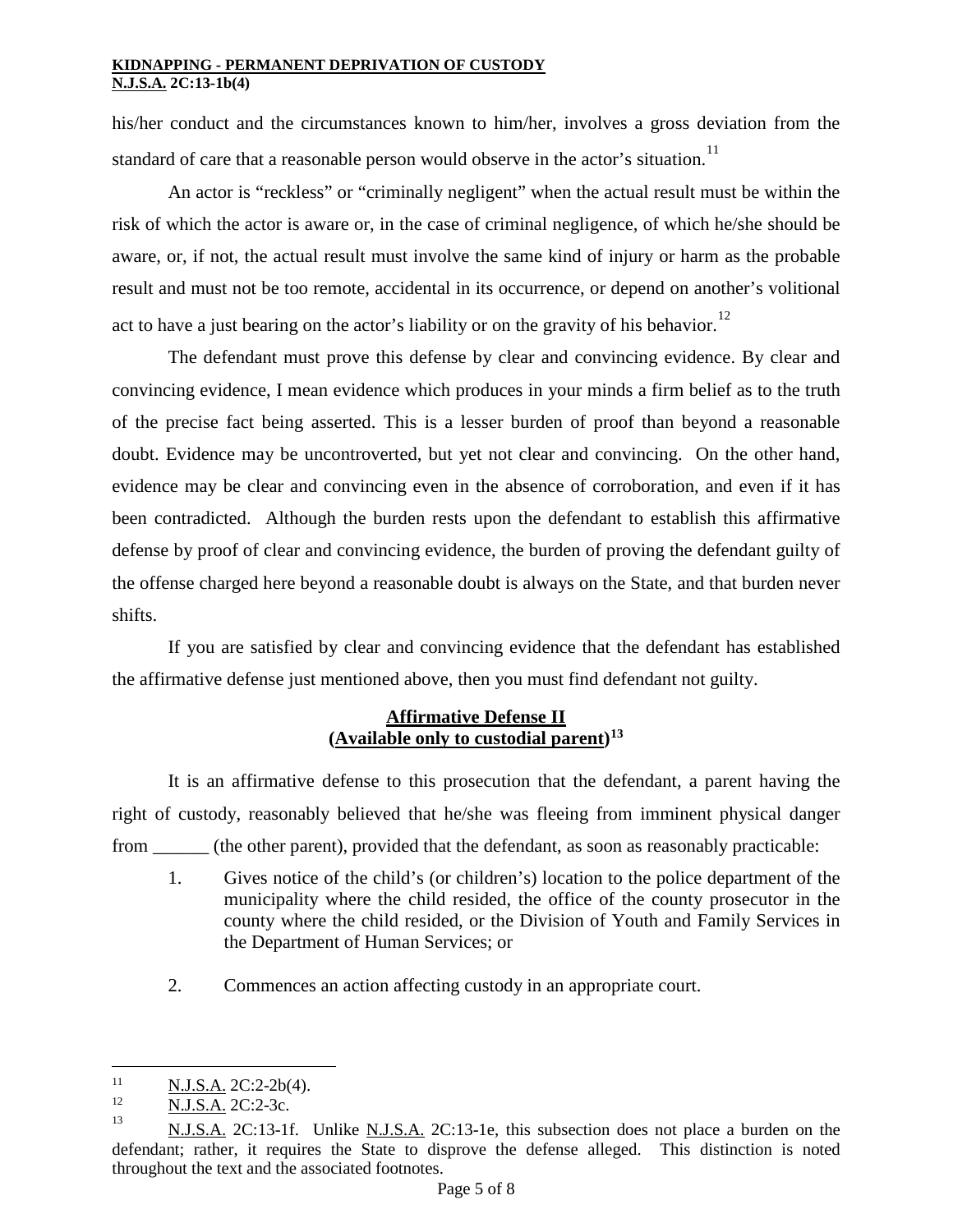his/her conduct and the circumstances known to him/her, involves a gross deviation from the standard of care that a reasonable person would observe in the actor's situation.<sup>[11](#page-4-0)</sup>

An actor is "reckless" or "criminally negligent" when the actual result must be within the risk of which the actor is aware or, in the case of criminal negligence, of which he/she should be aware, or, if not, the actual result must involve the same kind of injury or harm as the probable result and must not be too remote, accidental in its occurrence, or depend on another's volitional act to have a just bearing on the actor's liability or on the gravity of his behavior.<sup>[12](#page-4-1)</sup>

The defendant must prove this defense by clear and convincing evidence. By clear and convincing evidence, I mean evidence which produces in your minds a firm belief as to the truth of the precise fact being asserted. This is a lesser burden of proof than beyond a reasonable doubt. Evidence may be uncontroverted, but yet not clear and convincing. On the other hand, evidence may be clear and convincing even in the absence of corroboration, and even if it has been contradicted. Although the burden rests upon the defendant to establish this affirmative defense by proof of clear and convincing evidence, the burden of proving the defendant guilty of the offense charged here beyond a reasonable doubt is always on the State, and that burden never shifts.

If you are satisfied by clear and convincing evidence that the defendant has established the affirmative defense just mentioned above, then you must find defendant not guilty.

# **Affirmative Defense II (Available only to custodial parent)[13](#page-4-2)**

It is an affirmative defense to this prosecution that the defendant, a parent having the right of custody, reasonably believed that he/she was fleeing from imminent physical danger from \_\_\_\_\_\_ (the other parent), provided that the defendant, as soon as reasonably practicable:

- 1. Gives notice of the child's (or children's) location to the police department of the municipality where the child resided, the office of the county prosecutor in the county where the child resided, or the Division of Youth and Family Services in the Department of Human Services; or
- 2. Commences an action affecting custody in an appropriate court.

<span id="page-4-0"></span> $\frac{N.J.S.A.}{N.I.S.A.}$  2C:2-2b(4).  $11$ 

<span id="page-4-1"></span> $\frac{12}{13}$  N.J.S.A. 2C:2-3c.

<span id="page-4-2"></span>N.J.S.A. 2C:13-1f. Unlike N.J.S.A. 2C:13-1e, this subsection does not place a burden on the defendant; rather, it requires the State to disprove the defense alleged. This distinction is noted throughout the text and the associated footnotes.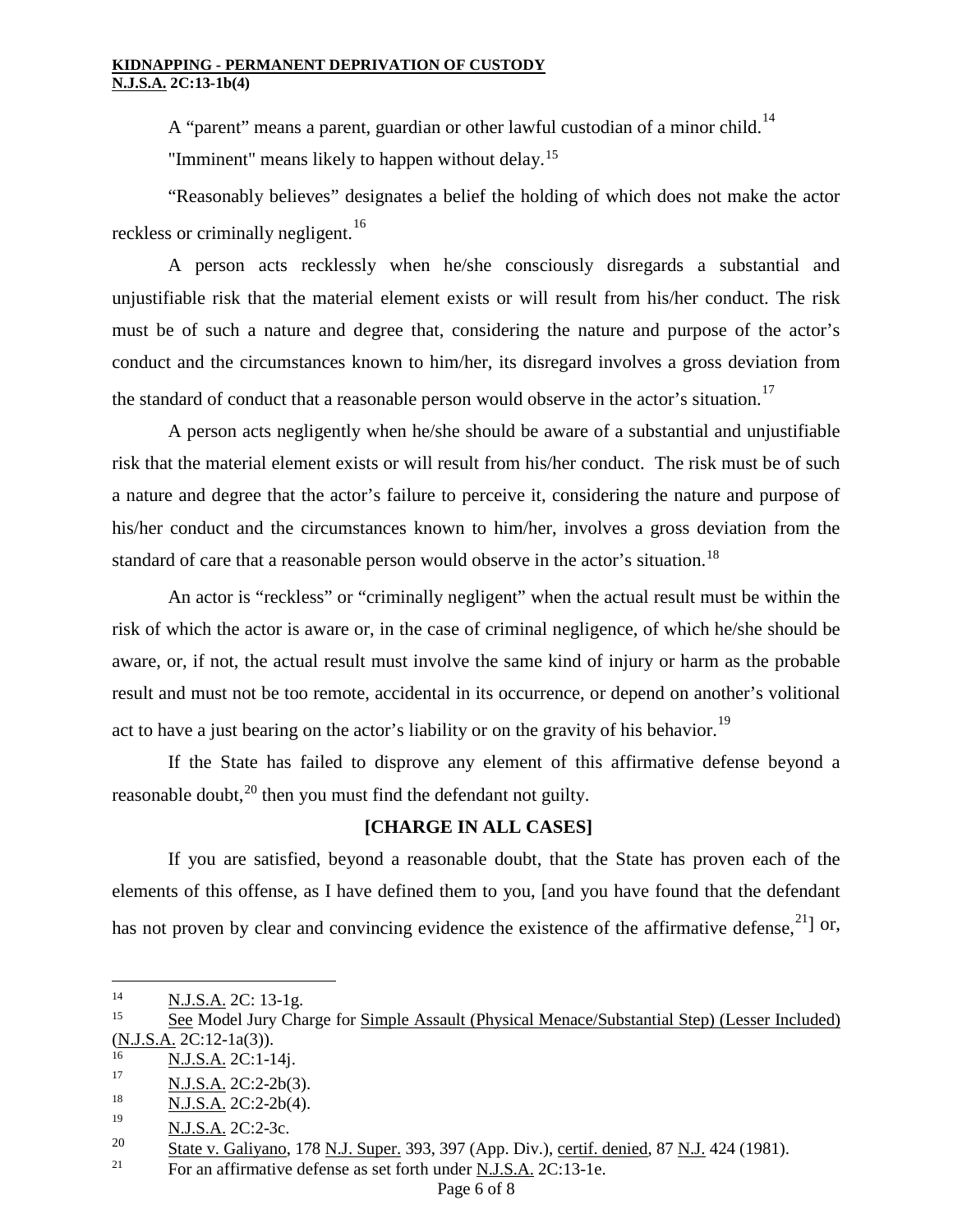A "parent" means a parent, guardian or other lawful custodian of a minor child.<sup>[14](#page-5-0)</sup> "Imminent" means likely to happen without delay.<sup>[15](#page-5-1)</sup>

"Reasonably believes" designates a belief the holding of which does not make the actor reckless or criminally negligent.<sup>[16](#page-5-2)</sup>

A person acts recklessly when he/she consciously disregards a substantial and unjustifiable risk that the material element exists or will result from his/her conduct. The risk must be of such a nature and degree that, considering the nature and purpose of the actor's conduct and the circumstances known to him/her, its disregard involves a gross deviation from the standard of conduct that a reasonable person would observe in the actor's situation.<sup>[17](#page-5-3)</sup>

A person acts negligently when he/she should be aware of a substantial and unjustifiable risk that the material element exists or will result from his/her conduct. The risk must be of such a nature and degree that the actor's failure to perceive it, considering the nature and purpose of his/her conduct and the circumstances known to him/her, involves a gross deviation from the standard of care that a reasonable person would observe in the actor's situation.<sup>[18](#page-5-4)</sup>

An actor is "reckless" or "criminally negligent" when the actual result must be within the risk of which the actor is aware or, in the case of criminal negligence, of which he/she should be aware, or, if not, the actual result must involve the same kind of injury or harm as the probable result and must not be too remote, accidental in its occurrence, or depend on another's volitional act to have a just bearing on the actor's liability or on the gravity of his behavior.<sup>[19](#page-5-5)</sup>

If the State has failed to disprove any element of this affirmative defense beyond a reasonable doubt,<sup>[20](#page-5-6)</sup> then you must find the defendant not guilty.

# **[CHARGE IN ALL CASES]**

If you are satisfied, beyond a reasonable doubt, that the State has proven each of the elements of this offense, as I have defined them to you, [and you have found that the defendant has not proven by clear and convincing evidence the existence of the affirmative defense,  $^{21}$  $^{21}$  $^{21}$  or,

<span id="page-5-0"></span> $\frac{14}{15}$  N.J.S.A. 2C: 13-1g.

<span id="page-5-1"></span><sup>15</sup> See Model Jury Charge for Simple Assault (Physical Menace/Substantial Step) (Lesser Included) (N.J.S.A. 2C:12-1a(3)).

<span id="page-5-2"></span> $\frac{16}{17}$  N.J.S.A. 2C:1-14j.

<span id="page-5-3"></span> $\frac{N.J.S.A.}{N.I.S.A.}$  2C:2-2b(3).

<span id="page-5-4"></span> $\frac{18}{19}$  N.J.S.A. 2C:2-2b(4).

<span id="page-5-5"></span> $\frac{N.J.S.A.}{20}$  2C:2-3c.

<span id="page-5-6"></span> $\frac{20}{21}$  State v. Galiyano, 178 <u>N.J. Super.</u> 393, 397 (App. Div.), certif. denied, 87 <u>N.J.</u> 424 (1981).

<span id="page-5-7"></span>For an affirmative defense as set forth under N.J.S.A. 2C:13-1e.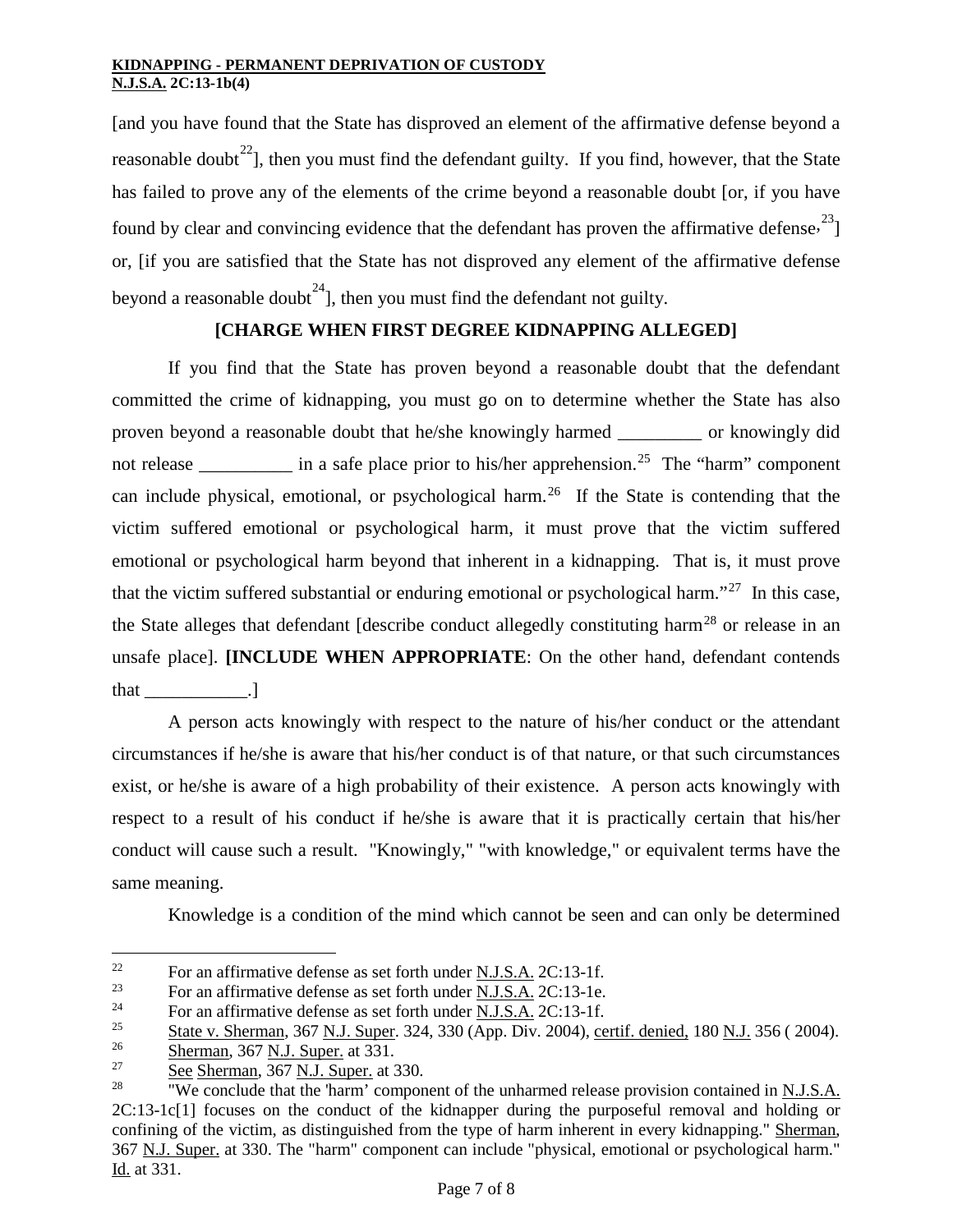[and you have found that the State has disproved an element of the affirmative defense beyond a reasonable doubt<sup>[22](#page-6-0)</sup>], then you must find the defendant guilty. If you find, however, that the State has failed to prove any of the elements of the crime beyond a reasonable doubt [or, if you have found by clear and convincing evidence that the defendant has proven the affirmative defense.<sup>[23](#page-6-1)</sup>] or, [if you are satisfied that the State has not disproved any element of the affirmative defense beyond a reasonable doubt<sup>24</sup>], then you must find the defendant not guilty.

# **[CHARGE WHEN FIRST DEGREE KIDNAPPING ALLEGED]**

If you find that the State has proven beyond a reasonable doubt that the defendant committed the crime of kidnapping, you must go on to determine whether the State has also proven beyond a reasonable doubt that he/she knowingly harmed \_\_\_\_\_\_\_\_\_ or knowingly did not release \_\_\_\_\_\_\_\_\_\_\_ in a safe place prior to his/her apprehension.<sup>[25](#page-6-3)</sup> The "harm" component can include physical, emotional, or psychological harm.[26](#page-6-4) If the State is contending that the victim suffered emotional or psychological harm, it must prove that the victim suffered emotional or psychological harm beyond that inherent in a kidnapping. That is, it must prove that the victim suffered substantial or enduring emotional or psychological harm.<sup>"[27](#page-6-5)</sup> In this case, the State alleges that defendant [describe conduct allegedly constituting harm<sup>[28](#page-6-6)</sup> or release in an unsafe place]. **[INCLUDE WHEN APPROPRIATE**: On the other hand, defendant contends that \_\_\_\_\_\_\_\_\_\_\_.]

A person acts knowingly with respect to the nature of his/her conduct or the attendant circumstances if he/she is aware that his/her conduct is of that nature, or that such circumstances exist, or he/she is aware of a high probability of their existence. A person acts knowingly with respect to a result of his conduct if he/she is aware that it is practically certain that his/her conduct will cause such a result. "Knowingly," "with knowledge," or equivalent terms have the same meaning.

Knowledge is a condition of the mind which cannot be seen and can only be determined

<span id="page-6-0"></span><sup>&</sup>lt;sup>22</sup> For an affirmative defense as set forth under <u>N.J.S.A.</u> 2C:13-1f.<br><sup>23</sup> For an affirmative defense as set forth under N.J.S.A. 2C:13.1e.

<span id="page-6-1"></span><sup>&</sup>lt;sup>23</sup> For an affirmative defense as set forth under <u>N.J.S.A.</u> 2C:13-1e.<br><sup>24</sup> Est an affirmative defense as set forth under N.J.S.A. 2C:13-1f.

<span id="page-6-2"></span><sup>&</sup>lt;sup>24</sup> For an affirmative defense as set forth under <u>N.J.S.A.</u> 2C:13-1f.<br><sup>25</sup> State y Sherman 367 N J Super 324, 330 (App. Div. 2004). ce

<span id="page-6-3"></span> $\frac{25}{26}$  State v. Sherman, 367 N.J. Super. 324, 330 (App. Div. 2004), certif. denied, 180 N.J. 356 ( 2004).

<span id="page-6-4"></span> $\frac{26}{27}$  Sherman, 367 <u>N.J. Super</u>. at 331.

<span id="page-6-5"></span> $\frac{27}{28}$  See Sherman, 367 N.J. Super. at 330.

<span id="page-6-6"></span><sup>28</sup> "We conclude that the 'harm' component of the unharmed release provision contained in N.J.S.A. 2C:13-1c[1] focuses on the conduct of the kidnapper during the purposeful removal and holding or confining of the victim, as distinguished from the type of harm inherent in every kidnapping." Sherman, 367 N.J. Super. at 330. The "harm" component can include "physical, emotional or psychological harm." Id. at 331.